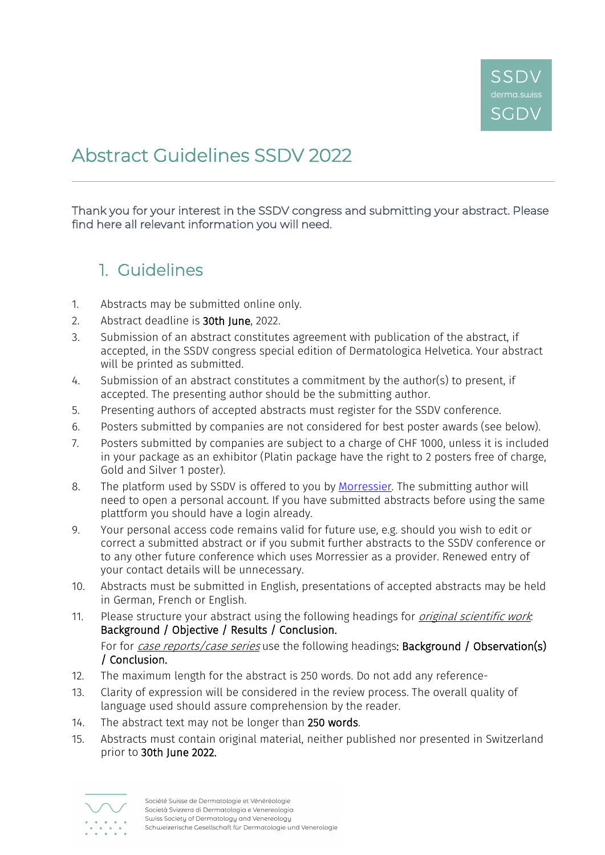

# Abstract Guidelines SSDV 2022

Thank you for your interest in the SSDV congress and submitting your abstract. Please find here all relevant information you will need.

#### 1. Guidelines

- 1. Abstracts may be submitted online only.
- 2. Abstract deadline is 30th June, 2022.
- 3. Submission of an abstract constitutes agreement with publication of the abstract, if accepted, in the SSDV congress special edition of Dermatologica Helvetica. Your abstract will be printed as submitted.
- 4. Submission of an abstract constitutes a commitment by the author(s) to present, if accepted. The presenting author should be the submitting author.
- 5. Presenting authors of accepted abstracts must register for the SSDV conference.
- 6. Posters submitted by companies are not considered for best poster awards (see below).
- 7. Posters submitted by companies are subject to a charge of CHF 1000, unless it is included in your package as an exhibitor (Platin package have the right to 2 posters free of charge, Gold and Silver 1 poster).
- 8. The platform used by SSDV is offered to you by [Morressier.](https://www.morressier.com/) The submitting author will need to open a personal account. If you have submitted abstracts before using the same plattform you should have a login already.
- 9. Your personal access code remains valid for future use, e.g. should you wish to edit or correct a submitted abstract or if you submit further abstracts to the SSDV conference or to any other future conference which uses Morressier as a provider. Renewed entry of your contact details will be unnecessary.
- 10. Abstracts must be submitted in English, presentations of accepted abstracts may be held in German, French or English.
- 11. Please structure your abstract using the following headings for *original scientific work*: Background / Objective / Results / Conclusion. For for *case reports/case series* use the following headings: **Background / Observation(s)** / Conclusion.
- 12. The maximum length for the abstract is 250 words. Do not add any reference-
- 13. Clarity of expression will be considered in the review process. The overall quality of language used should assure comprehension by the reader.
- 14. The abstract text may not be longer than 250 words.
- 15. Abstracts must contain original material, neither published nor presented in Switzerland prior to 30th June 2022.

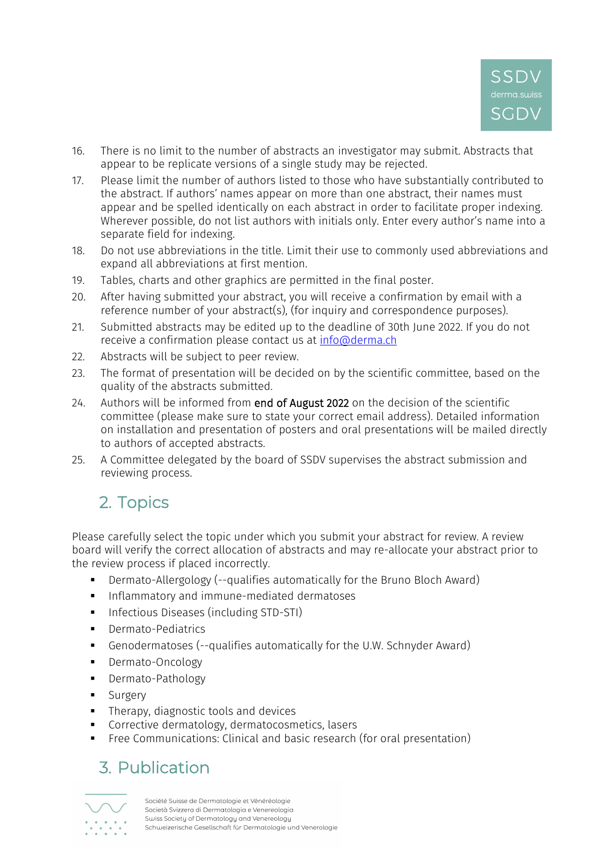

- 16. There is no limit to the number of abstracts an investigator may submit. Abstracts that appear to be replicate versions of a single study may be rejected.
- 17. Please limit the number of authors listed to those who have substantially contributed to the abstract. If authors' names appear on more than one abstract, their names must appear and be spelled identically on each abstract in order to facilitate proper indexing. Wherever possible, do not list authors with initials only. Enter every author's name into a separate field for indexing.
- 18. Do not use abbreviations in the title. Limit their use to commonly used abbreviations and expand all abbreviations at first mention.
- 19. Tables, charts and other graphics are permitted in the final poster.
- 20. After having submitted your abstract, you will receive a confirmation by email with a reference number of your abstract(s), (for inquiry and correspondence purposes).
- 21. Submitted abstracts may be edited up to the deadline of 30th June 2022. If you do not receive a confirmation please contact us at [info@derma.ch](mailto:info@derma.ch)
- 22. Abstracts will be subject to peer review.
- 23. The format of presentation will be decided on by the scientific committee, based on the quality of the abstracts submitted.
- 24. Authors will be informed from end of August 2022 on the decision of the scientific committee (please make sure to state your correct email address). Detailed information on installation and presentation of posters and oral presentations will be mailed directly to authors of accepted abstracts.
- 25. A Committee delegated by the board of SSDV supervises the abstract submission and reviewing process.

# 2. Topics

Please carefully select the topic under which you submit your abstract for review. A review board will verify the correct allocation of abstracts and may re-allocate your abstract prior to the review process if placed incorrectly.

- Dermato-Allergology (--qualifies automatically for the Bruno Bloch Award)
- **Inflammatory and immune-mediated dermatoses**
- **Infectious Diseases (including STD-STI)**
- **•** Dermato-Pediatrics
- Genodermatoses (--qualifies automatically for the U.W. Schnyder Award)
- **•** Dermato-Oncology
- **-** Dermato-Pathology
- **Surgery**
- **Therapy, diagnostic tools and devices**
- **Corrective dermatology, dermatocosmetics, lasers**
- **Free Communications: Clinical and basic research (for oral presentation)**

### 3. Publication

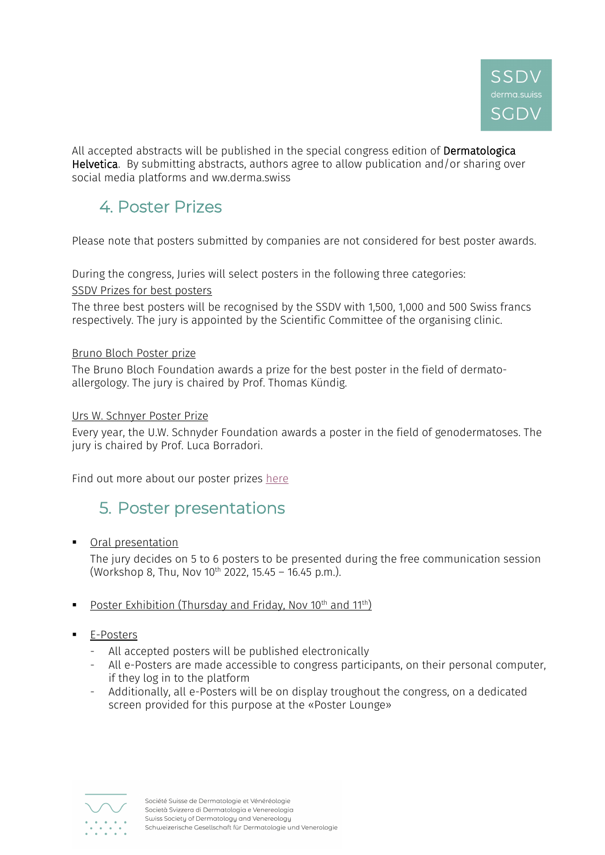

All accepted abstracts will be published in the special congress edition of Dermatologica Helvetica. By submitting abstracts, authors agree to allow publication and/or sharing over social media platforms and ww.derma.swiss

# 4. Poster Prizes

Please note that posters submitted by companies are not considered for best poster awards.

During the congress, Juries will select posters in the following three categories:

SSDV Prizes for best posters

The three best posters will be recognised by the SSDV with 1,500, 1,000 and 500 Swiss francs respectively. The jury is appointed by the Scientific Committee of the organising clinic.

#### Bruno Bloch Poster prize

The Bruno Bloch Foundation awards a prize for the best poster in the field of dermatoallergology. The jury is chaired by Prof. Thomas Kündig.

#### Urs W. Schnyer Poster Prize

Every year, the U.W. Schnyder Foundation awards a poster in the field of genodermatoses. The jury is chaired by Prof. Luca Borradori.

Find out more about our poster prizes [here](https://www.derma.swiss/sgdv/jahreskongress/posterpreise/)

### 5. Poster presentations

**•** Oral presentation

The jury decides on 5 to 6 posters to be presented during the free communication session (Workshop 8, Thu, Nov  $10^{th}$  2022, 15.45 – 16.45 p.m.).

- Poster Exhibition (Thursday and Friday, Nov  $10^{th}$  and  $11^{th}$ )
- **E-Posters** 
	- All accepted posters will be published electronically
	- All e-Posters are made accessible to congress participants, on their personal computer, if they log in to the platform
	- Additionally, all e-Posters will be on display troughout the congress, on a dedicated screen provided for this purpose at the «Poster Lounge»